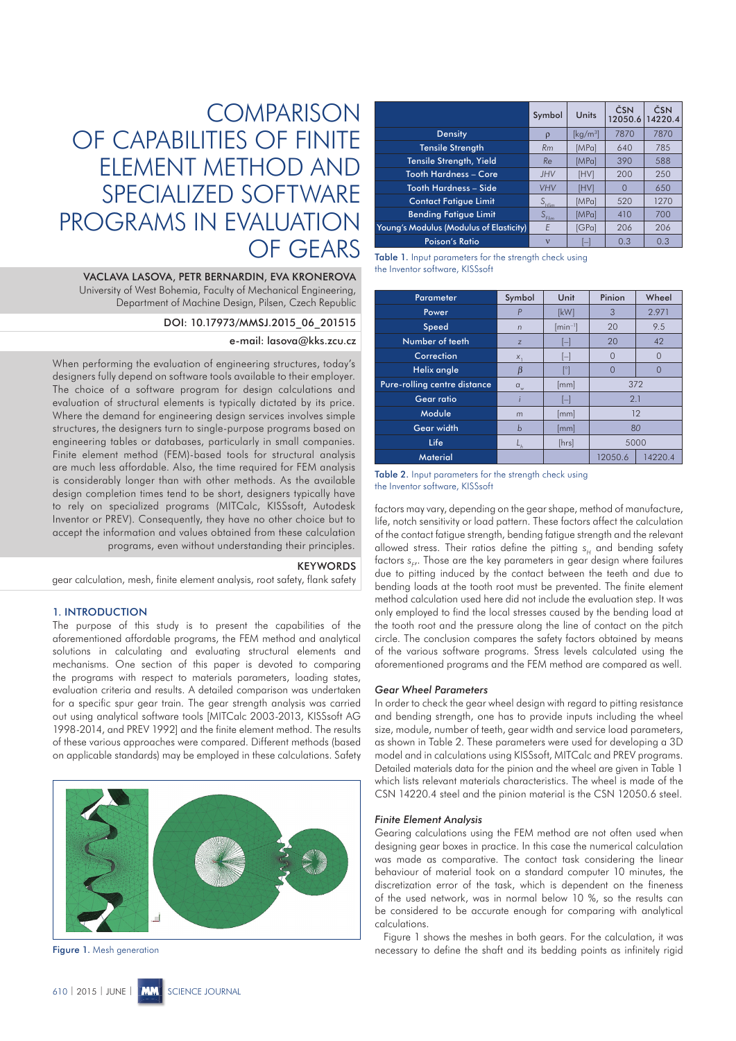# **COMPARISON** OF CAPABILITIES OF FINITE ELEMENT METHOD AND SPECIALIZED SOFTWARE PROGRAMS IN EVALUATION OF GEARS

VACLAVA LASOVA, PETR BERNARDIN, EVA KRONEROVA University of West Bohemia, Faculty of Mechanical Engineering, Department of Machine Design, Pilsen, Czech Republic

DOI: 10.17973/MMSJ.2015\_06\_201515

# e-mail: lasova@kks.zcu.cz

When performing the evaluation of engineering structures, today's designers fully depend on software tools available to their employer. The choice of a software program for design calculations and evaluation of structural elements is typically dictated by its price. Where the demand for engineering design services involves simple structures, the designers turn to single-purpose programs based on engineering tables or databases, particularly in small companies. Finite element method (FEM)-based tools for structural analysis are much less affordable. Also, the time required for FEM analysis is considerably longer than with other methods. As the available design completion times tend to be short, designers typically have to rely on specialized programs (MITCalc, KISSsoft, Autodesk Inventor or PREV). Consequently, they have no other choice but to accept the information and values obtained from these calculation programs, even without understanding their principles.

#### **KEYWORDS**

gear calculation, mesh, finite element analysis, root safety, flank safety

# 1. INTRODUCTION

The purpose of this study is to present the capabilities of the aforementioned affordable programs, the FEM method and analytical solutions in calculating and evaluating structural elements and mechanisms. One section of this paper is devoted to comparing the programs with respect to materials parameters, loading states, evaluation criteria and results. A detailed comparison was undertaken for a specific spur gear train. The gear strength analysis was carried out using analytical software tools [MITCalc 2003-2013, KISSsoft AG 1998-2014, and PREV 1992] and the finite element method. The results of these various approaches were compared. Different methods (based on applicable standards) may be employed in these calculations. Safety



Figure 1. Mesh generation

|                                         | Symbol            | Units            | ČSN<br>12050.6 | ČSN<br>14220.4 |
|-----------------------------------------|-------------------|------------------|----------------|----------------|
| <b>Density</b>                          | $\rho$            | [ $\rm kg/m^3$ ] | 7870           | 7870           |
| <b>Tensile Strength</b>                 | Rm                | [MPa]            | 640            | 785            |
| Tensile Strength, Yield                 | Re                | [MPa]            | 390            | 588            |
| Tooth Hardness – Core                   | <b>JHV</b>        | [HV]             | 200            | 250            |
| Tooth Hardness – Side                   | <b>VHV</b>        | [HV]             |                | 650            |
| <b>Contact Fatique Limit</b>            | $S_{\text{Hlim}}$ | [MPa]            | 520            | 1270           |
| <b>Bending Fatigue Limit</b>            | $S_{\text{Elim}}$ | [MPa]            | 410            | 700            |
| Young's Modulus (Modulus of Elasticity) | E                 | [GPa]            | 206            | 206            |
| <b>Poison's Ratio</b>                   | $\mathbf{v}$      | -                | 0.3            | 0.3            |

| <b>Table 1.</b> Input parameters for the strength check using |  |
|---------------------------------------------------------------|--|
| the Inventor software, KISSsoft                               |  |

| <b>Parameter</b>             | Symbol     | Unit         | Pinion<br>Wheel    |          |
|------------------------------|------------|--------------|--------------------|----------|
| Power                        |            | [kW]         | 2.971<br>3         |          |
| Speed                        | $\sqrt{n}$ | $[min^{-1}]$ | 9.5<br>20          |          |
| Number of teeth              | Z          | E            | 20<br>42           |          |
| Correction                   | X,         | $\mathsf{I}$ | $\Omega$           | $\Omega$ |
| Helix angle                  | ß          | r            | 0                  |          |
| Pure-rolling centre distance | $a_{w}$    | [mm]         | 372                |          |
| <b>Gear ratio</b>            |            | H            | 2.1                |          |
| Module                       | m          | [mm]         | 12                 |          |
| Gear width                   | b          | [mm]         | 80                 |          |
| Life                         |            | [hrs]        | 5000               |          |
| <b>Material</b>              |            |              | 14220.4<br>12050.6 |          |

Table 2. Input parameters for the strength check using the Inventor software, KISSsoft

factors may vary, depending on the gear shape, method of manufacture, life, notch sensitivity or load pattern. These factors affect the calculation of the contact fatigue strength, bending fatigue strength and the relevant allowed stress. Their ratios define the pitting  $s_H$  and bending safety factors s<sub>F</sub>,. Those are the key parameters in gear design where failures due to pitting induced by the contact between the teeth and due to bending loads at the tooth root must be prevented. The finite element method calculation used here did not include the evaluation step. It was only employed to find the local stresses caused by the bending load at the tooth root and the pressure along the line of contact on the pitch circle. The conclusion compares the safety factors obtained by means of the various software programs. Stress levels calculated using the aforementioned programs and the FEM method are compared as well.

## *Gear Wheel Parameters*

In order to check the gear wheel design with regard to pitting resistance and bending strength, one has to provide inputs including the wheel size, module, number of teeth, gear width and service load parameters, as shown in Table 2. These parameters were used for developing a 3D model and in calculations using KISSsoft, MITCalc and PREV programs. Detailed materials data for the pinion and the wheel are given in Table 1 which lists relevant materials characteristics. The wheel is made of the CSN 14220.4 steel and the pinion material is the CSN 12050.6 steel.

### *Finite Element Analysis*

Gearing calculations using the FEM method are not often used when designing gear boxes in practice. In this case the numerical calculation was made as comparative. The contact task considering the linear behaviour of material took on a standard computer 10 minutes, the discretization error of the task, which is dependent on the fineness of the used network, was in normal below 10 %, so the results can be considered to be accurate enough for comparing with analytical calculations.

Figure 1 shows the meshes in both gears. For the calculation, it was necessary to define the shaft and its bedding points as infinitely rigid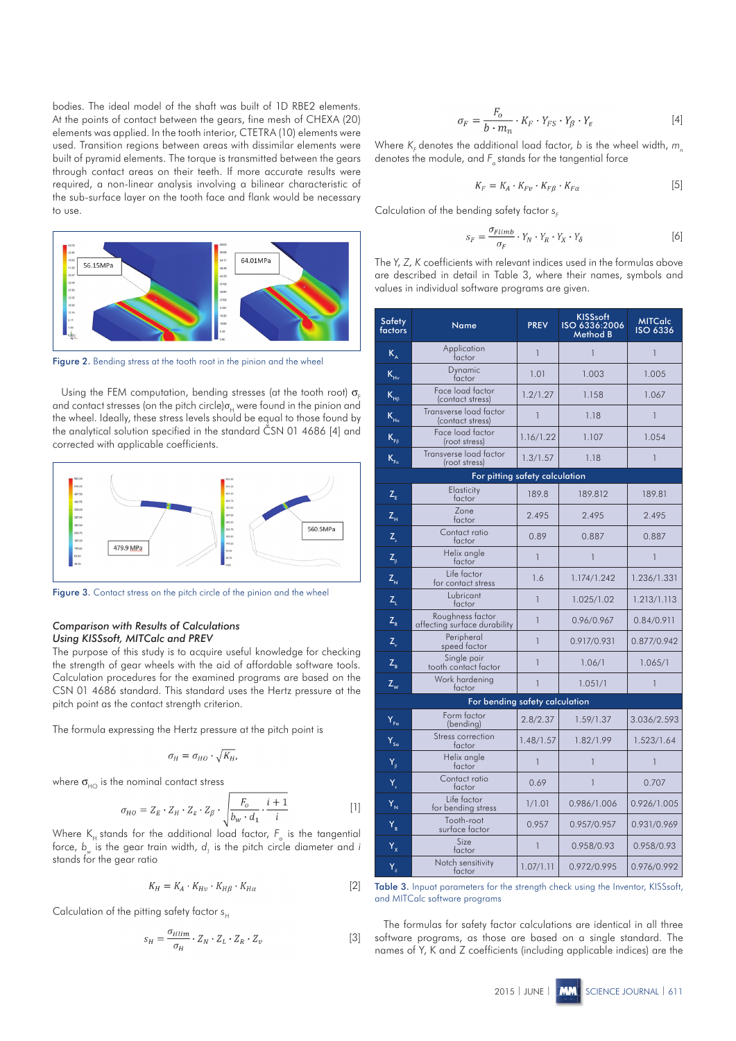bodies. The ideal model of the shaft was built of 1D RBE2 elements. At the points of contact between the gears, fine mesh of CHEXA (20) elements was applied. In the tooth interior, CTETRA (10) elements were used. Transition regions between areas with dissimilar elements were built of pyramid elements. The torque is transmitted between the gears through contact areas on their teeth. If more accurate results were required, a non-linear analysis involving a bilinear characteristic of the sub-surface layer on the tooth face and flank would be necessary to use.



Figure 2. Bending stress at the tooth root in the pinion and the wheel

Using the FEM computation, bending stresses (at the tooth root)  $\sigma$ and contact stresses (on the pitch circle) $\sigma_{\mu}$  were found in the pinion and the wheel. Ideally, these stress levels should be equal to those found by the analytical solution specified in the standard ČSN 01 4686 [4] and corrected with applicable coefficients.



Figure 3. Contact stress on the pitch circle of the pinion and the wheel

## *Comparison with Results of Calculations Using KISSsoft, MITCalc and PREV*

The purpose of this study is to acquire useful knowledge for checking the strength of gear wheels with the aid of affordable software tools. Calculation procedures for the examined programs are based on the CSN 01 4686 standard. This standard uses the Hertz pressure at the pitch point as the contact strength criterion.

The formula expressing the Hertz pressure at the pitch point is

$$
\sigma_H = \sigma_{HO} \cdot \sqrt{K_H},
$$

where  $\sigma_{\scriptscriptstyle{\mathrm{HO}}}$  is the nominal contact stress

$$
\sigma_{HO} = Z_E \cdot Z_H \cdot Z_g \cdot Z_\beta \cdot \sqrt{\frac{F_o}{b_w \cdot d_1} \cdot \frac{i+1}{i}} \tag{1}
$$

Where  $\mathsf{K}_{_{\mathsf{H}}}$  stands for the additional load factor,  $\mathsf{F}_{_{\mathrm{O}}}$  is the tangential force,  $b_{_{\mathrm{w}}}$  is the gear train width,  $d_{_{l}}$  is the pitch circle diameter and *i* stands for the gear ratio

$$
K_H = K_A \cdot K_{Hv} \cdot K_{Hg} \cdot K_{H\alpha} \tag{2}
$$

Calculation of the pitting safety factor *s<sub>H</sub>* 

$$
s_H = \frac{\sigma_{Hlim}}{\sigma_H} \cdot Z_N \cdot Z_L \cdot Z_R \cdot Z_v \tag{3}
$$

$$
\sigma_F = \frac{F_o}{b \cdot m_n} \cdot K_F \cdot Y_{FS} \cdot Y_\beta \cdot Y_\varepsilon \tag{4}
$$

Where *K<sub>F</sub>* denotes the additional load factor, *b* is the wheel width, *m* denotes the module, and *F<sub>o</sub>* stands for the tangential force

$$
K_F = K_A \cdot K_{F\nu} \cdot K_{F\beta} \cdot K_{F\alpha} \tag{5}
$$

Calculation of the bending safety factor  $s_F$ 

$$
s_F = \frac{\sigma_{Flimb}}{\sigma_F} \cdot Y_N \cdot Y_R \cdot Y_X \cdot Y_\delta \tag{6}
$$

The *Y, Z, K* coefficients with relevant indices used in the formulas above are described in detail in Table 3, where their names, symbols and values in individual software programs are given.

| Safety<br>factors          | Name                                             | <b>PREV</b>    | <b>KISSsoft</b><br>ISO 6336:2006<br>Method B | <b>MITCalc</b><br><b>ISO 6336</b> |
|----------------------------|--------------------------------------------------|----------------|----------------------------------------------|-----------------------------------|
| $K_{\rm A}$                | Application<br>factor                            | $\mathbf{1}$   | $\overline{1}$                               | $\mathbf{1}$                      |
| $K_{\mu}$                  | Dynamic<br>factor                                | 1.01           | 1.003                                        | 1.005                             |
| $K_{\rm{H}\beta}$          | Face load factor<br>(contact stress)             | 1.2/1.27       | 1.158                                        | 1.067                             |
| $K_{Ha}$                   | Transverse load factor<br>(contact stress)       | $\overline{1}$ | 1.18                                         | $\mathbf{1}$                      |
| $K_{FB}$                   | Face load factor<br>(root stress)                | 1.16/1.22      | 1.107                                        | 1.054                             |
| $K_{F\alpha}$              | Transverse load factor<br>(root stress)          | 1.3/1.57       | 1.18                                         | $\mathbf{1}$                      |
|                            | For pitting safety calculation                   |                |                                              |                                   |
| $Z_{E}$                    | Elasticity<br>factor                             | 189.8          | 189.812                                      | 189.81                            |
| $Z_{\rm H}$                | Zone<br>factor                                   | 2.495          | 2.495                                        | 2.495                             |
| $Z_{\rm s}$                | Contact ratio<br>factor                          | 0.89           | 0.887                                        | 0.887                             |
| $Z_{\beta}$                | Helix angle<br>factor                            | $\overline{1}$ | 1                                            | $\overline{1}$                    |
| $Z_{N}$                    | Life factor<br>for contact stress                | 1.6            | 1.174/1.242                                  | 1.236/1.331                       |
| $Z_{\rm L}$                | Lubricant<br>factor                              | $\mathbf{1}$   | 1.025/1.02                                   | 1.213/1.113                       |
| $Z_R$                      | Roughness factor<br>affecting surface durability | $\overline{1}$ | 0.96/0.967                                   | 0.84/0.911                        |
| $Z_{\alpha}$               | Peripheral<br>speed factor                       | $\overline{1}$ | 0.917/0.931                                  | 0.877/0.942                       |
| $Z_{B}$                    | Single pair<br>tooth contact factor              | $\mathbf{1}$   | 1.06/1                                       | 1.065/1                           |
| $Z_w$                      | Work hardening<br>factor                         | 1              | 1.051/1                                      | 1                                 |
|                            | For bending safety calculation                   |                |                                              |                                   |
| Y <sub>Fa</sub>            | Form factor<br>(bending)                         | 2.8/2.37       | 1.59/1.37                                    | 3.036/2.593                       |
| $Y_{sa}$                   | Stress correction<br>factor                      | 1.48/1.57      | 1.82/1.99                                    | 1.523/1.64                        |
| $Y_{\beta}$                | Helix angle<br>factor                            | $\overline{1}$ | $\overline{1}$                               | $\overline{1}$                    |
| $\overline{Y}_\varepsilon$ | Contact ratio<br>factor                          | 0.69           | 1                                            | 0.707                             |
| $Y_{N}$                    | Life factor<br>for bending stress                | 1/1.01         | 0.986/1.006                                  | 0.926/1.005                       |
| $Y_R$                      | Tooth-root<br>surface factor                     | 0.957          | 0.957/0.957                                  | 0.931/0.969                       |
| $Y_{x}$                    | Size<br>factor                                   | 1              | 0.958/0.93                                   | 0.958/0.93                        |
| $\overline{Y}_{\delta}$    | Notch sensitivity<br>factor                      | 1.07/1.11      | 0.972/0.995                                  | 0.976/0.992                       |

Table 3. Inpuat parameters for the strength check using the Inventor, KISSsoft, and MITCalc software programs

The formulas for safety factor calculations are identical in all three software programs, as those are based on a single standard. The names of Y, K and Z coefficients (including applicable indices) are the